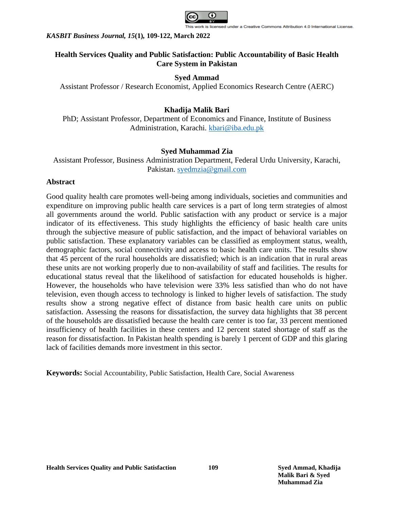

# **Health Services Quality and Public Satisfaction: Public Accountability of Basic Health Care System in Pakistan**

# **Syed Ammad**

Assistant Professor / Research Economist, Applied Economics Research Centre (AERC)

# **Khadija Malik Bari**

PhD; Assistant Professor, Department of Economics and Finance, Institute of Business Administration, Karachi. [kbari@iba.edu.pk](mailto:kbari@iba.edu.pk)

# **Syed Muhammad Zia**

Assistant Professor, Business Administration Department, Federal Urdu University, Karachi, Pakistan. [syedmzia@gmail.com](mailto:syedmzia@gmail.com)

# **Abstract**

Good quality health care promotes well-being among individuals, societies and communities and expenditure on improving public health care services is a part of long term strategies of almost all governments around the world. Public satisfaction with any product or service is a major indicator of its effectiveness. This study highlights the efficiency of basic health care units through the subjective measure of public satisfaction, and the impact of behavioral variables on public satisfaction. These explanatory variables can be classified as employment status, wealth, demographic factors, social connectivity and access to basic health care units. The results show that 45 percent of the rural households are dissatisfied; which is an indication that in rural areas these units are not working properly due to non-availability of staff and facilities. The results for educational status reveal that the likelihood of satisfaction for educated households is higher. However, the households who have television were 33% less satisfied than who do not have television, even though access to technology is linked to higher levels of satisfaction. The study results show a strong negative effect of distance from basic health care units on public satisfaction. Assessing the reasons for dissatisfaction, the survey data highlights that 38 percent of the households are dissatisfied because the health care center is too far, 33 percent mentioned insufficiency of health facilities in these centers and 12 percent stated shortage of staff as the reason for dissatisfaction. In Pakistan health spending is barely 1 percent of GDP and this glaring lack of facilities demands more investment in this sector.

**Keywords:** Social Accountability, Public Satisfaction, Health Care, Social Awareness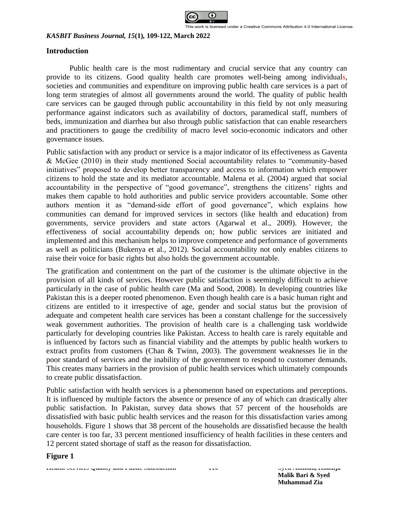

# **Introduction**

Public health care is the most rudimentary and crucial service that any country can provide to its citizens. Good quality health care promotes well-being among individuals, societies and communities and expenditure on improving public health care services is a part of long term strategies of almost all governments around the world. The quality of public health care services can be gauged through public accountability in this field by not only measuring performance against indicators such as availability of doctors, paramedical staff, numbers of beds, immunization and diarrhea but also through public satisfaction that can enable researchers and practitioners to gauge the credibility of macro level socio-economic indicators and other governance issues.

Public satisfaction with any product or service is a major indicator of its effectiveness as Gaventa & McGee (2010) in their study mentioned Social accountability relates to "community-based initiatives" proposed to develop better transparency and access to information which empower citizens to hold the state and its mediator accountable. Malena et al. (2004) argued that social accountability in the perspective of "good governance", strengthens the citizens' rights and makes them capable to hold authorities and public service providers accountable. Some other authors mention it as "demand-side effort of good governance", which explains how communities can demand for improved services in sectors (like health and education) from governments, service providers and state actors (Agarwal et al., 2009). However, the effectiveness of social accountability depends on; how public services are initiated and implemented and this mechanism helps to improve competence and performance of governments as well as politicians (Bukenya et al., 2012). Social accountability not only enables citizens to raise their voice for basic rights but also holds the government accountable.

The gratification and contentment on the part of the customer is the ultimate objective in the provision of all kinds of services. However public satisfaction is seemingly difficult to achieve particularly in the case of public health care (Ma and Sood, 2008). In developing countries like Pakistan this is a deeper rooted phenomenon. Even though health care is a basic human right and citizens are entitled to it irrespective of age, gender and social status but the provision of adequate and competent health care services has been a constant challenge for the successively weak government authorities. The provision of health care is a challenging task worldwide particularly for developing countries like Pakistan. Access to health care is rarely equitable and is influenced by factors such as financial viability and the attempts by public health workers to extract profits from customers (Chan & Twinn, 2003). The government weaknesses lie in the poor standard of services and the inability of the government to respond to customer demands. This creates many barriers in the provision of public health services which ultimately compounds to create public dissatisfaction.

Public satisfaction with health services is a phenomenon based on expectations and perceptions. It is influenced by multiple factors the absence or presence of any of which can drastically alter public satisfaction. In Pakistan, survey data shows that 57 percent of the households are dissatisfied with basic public health services and the reason for this dissatisfaction varies among households. Figure 1 shows that 38 percent of the households are dissatisfied because the health care center is too far, 33 percent mentioned insufficiency of health facilities in these centers and 12 percent stated shortage of staff as the reason for dissatisfaction.

**Figure 1**

**Health Services Quality and Public Satisfaction 110 Syed Ammad, Khadija Malik Bari & Syed Muhammad Zia**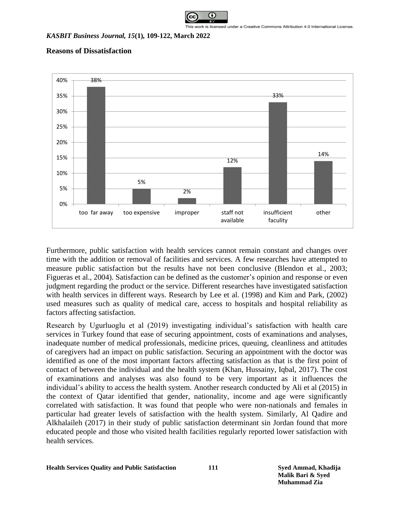

# **Reasons of Dissatisfaction**



Furthermore, public satisfaction with health services cannot remain constant and changes over time with the addition or removal of facilities and services. A few researches have attempted to measure public satisfaction but the results have not been conclusive (Blendon et al., 2003; Figueras et al., 2004). Satisfaction can be defined as the customer's opinion and response or even judgment regarding the product or the service. Different researches have investigated satisfaction with health services in different ways. Research by Lee et al. (1998) and Kim and Park, (2002) used measures such as quality of medical care, access to hospitals and hospital reliability as factors affecting satisfaction.

Research by Ugurluoglu et al (2019) investigating individual's satisfaction with health care services in Turkey found that ease of securing appointment, costs of examinations and analyses, inadequate number of medical professionals, medicine prices, queuing, cleanliness and attitudes of caregivers had an impact on public satisfaction. Securing an appointment with the doctor was identified as one of the most important factors affecting satisfaction as that is the first point of contact of between the individual and the health system (Khan, Hussainy, Iqbal, 2017). The cost of examinations and analyses was also found to be very important as it influences the individual's ability to access the health system. Another research conducted by Ali et al (2015) in the context of Qatar identified that gender, nationality, income and age were significantly correlated with satisfaction. It was found that people who were non-nationals and females in particular had greater levels of satisfaction with the health system. Similarly, Al Qadire and Alkhalaileh (2017) in their study of public satisfaction determinant sin Jordan found that more educated people and those who visited health facilities regularly reported lower satisfaction with health services.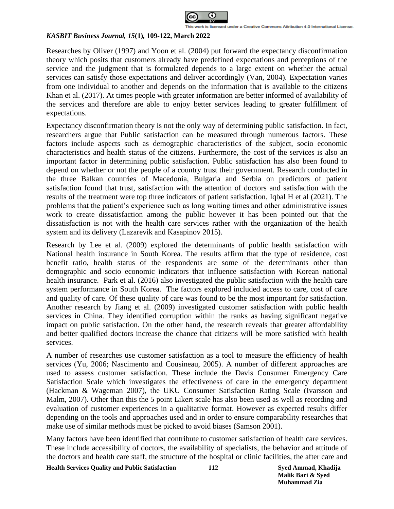

Researches by Oliver (1997) and Yoon et al. (2004) put forward the expectancy disconfirmation theory which posits that customers already have predefined expectations and perceptions of the service and the judgment that is formulated depends to a large extent on whether the actual services can satisfy those expectations and deliver accordingly (Van, 2004). Expectation varies from one individual to another and depends on the information that is available to the citizens Khan et al. (2017). At times people with greater information are better informed of availability of the services and therefore are able to enjoy better services leading to greater fulfillment of expectations.

Expectancy disconfirmation theory is not the only way of determining public satisfaction. In fact, researchers argue that Public satisfaction can be measured through numerous factors. These factors include aspects such as demographic characteristics of the subject, socio economic characteristics and health status of the citizens. Furthermore, the cost of the services is also an important factor in determining public satisfaction. Public satisfaction has also been found to depend on whether or not the people of a country trust their government. Research conducted in the three Balkan countries of Macedonia, Bulgaria and Serbia on predictors of patient satisfaction found that trust, satisfaction with the attention of doctors and satisfaction with the results of the treatment were top three indicators of patient satisfaction, Iqbal H et al (2021). The problems that the patient's experience such as long waiting times and other administrative issues work to create dissatisfaction among the public however it has been pointed out that the dissatisfaction is not with the health care services rather with the organization of the health system and its delivery (Lazarevik and Kasapinov 2015).

Research by Lee et al. (2009) explored the determinants of public health satisfaction with National health insurance in South Korea. The results affirm that the type of residence, cost benefit ratio, health status of the respondents are some of the determinants other than demographic and socio economic indicators that influence satisfaction with Korean national health insurance. Park et al. (2016) also investigated the public satisfaction with the health care system performance in South Korea. The factors explored included access to care, cost of care and quality of care. Of these quality of care was found to be the most important for satisfaction. Another research by Jiang et al. (2009) investigated customer satisfaction with public health services in China. They identified corruption within the ranks as having significant negative impact on public satisfaction. On the other hand, the research reveals that greater affordability and better qualified doctors increase the chance that citizens will be more satisfied with health services.

A number of researches use customer satisfaction as a tool to measure the efficiency of health services (Yu, 2006; Nascimento and Cousineau, 2005). A number of different approaches are used to assess customer satisfaction. These include the Davis Consumer Emergency Care Satisfaction Scale which investigates the effectiveness of care in the emergency department (Hackman & Wageman 2007), the UKU Consumer Satisfaction Rating Scale (Ivarsson and Malm, 2007). Other than this the 5 point Likert scale has also been used as well as recording and evaluation of customer experiences in a qualitative format. However as expected results differ depending on the tools and approaches used and in order to ensure comparability researches that make use of similar methods must be picked to avoid biases (Samson 2001).

Many factors have been identified that contribute to customer satisfaction of health care services. These include accessibility of doctors, the availability of specialists, the behavior and attitude of the doctors and health care staff, the structure of the hospital or clinic facilities, the after care and

**Health Services Quality and Public Satisfaction 112 Syed Ammad, Khadija**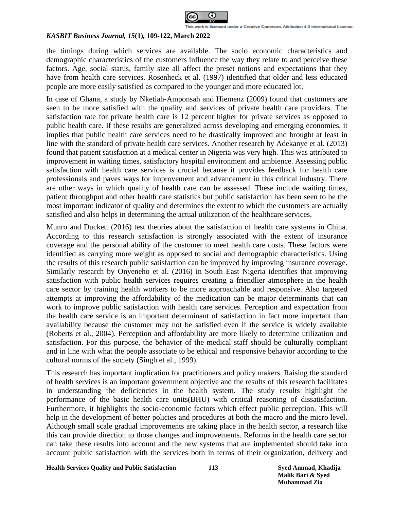

the timings during which services are available. The socio economic characteristics and demographic characteristics of the customers influence the way they relate to and perceive these factors. Age, social status, family size all affect the preset notions and expectations that they have from health care services. Rosenheck et al. (1997) identified that older and less educated people are more easily satisfied as compared to the younger and more educated lot.

In case of Ghana, a study by Nketiah-Amponsah and Hiemenz (2009) found that customers are seen to be more satisfied with the quality and services of private health care providers. The satisfaction rate for private health care is 12 percent higher for private services as opposed to public health care. If these results are generalized across developing and emerging economies, it implies that public health care services need to be drastically improved and brought at least in line with the standard of private health care services. Another research by Adekanye et al. (2013) found that patient satisfaction at a medical center in Nigeria was very high. This was attributed to improvement in waiting times, satisfactory hospital environment and ambience. Assessing public satisfaction with health care services is crucial because it provides feedback for health care professionals and paves ways for improvement and advancement in this critical industry. There are other ways in which quality of health care can be assessed. These include waiting times, patient throughput and other health care statistics but public satisfaction has been seen to be the most important indicator of quality and determines the extent to which the customers are actually satisfied and also helps in determining the actual utilization of the healthcare services.

Munro and Duckett (2016) test theories about the satisfaction of health care systems in China. According to this research satisfaction is strongly associated with the extent of insurance coverage and the personal ability of the customer to meet health care costs. These factors were identified as carrying more weight as opposed to social and demographic characteristics. Using the results of this research public satisfaction can be improved by improving insurance coverage. Similarly research by Onyeneho et al. (2016) in South East Nigeria identifies that improving satisfaction with public health services requires creating a friendlier atmosphere in the health care sector by training health workers to be more approachable and responsive. Also targeted attempts at improving the affordability of the medication can be major determinants that can work to improve public satisfaction with health care services. Perception and expectation from the health care service is an important determinant of satisfaction in fact more important than availability because the customer may not be satisfied even if the service is widely available (Roberts et al., 2004). Perception and affordability are more likely to determine utilization and satisfaction. For this purpose, the behavior of the medical staff should be culturally compliant and in line with what the people associate to be ethical and responsive behavior according to the cultural norms of the society (Singh et al., 1999).

This research has important implication for practitioners and policy makers. Raising the standard of health services is an important government objective and the results of this research facilitates in understanding the deficiencies in the health system. The study results highlight the performance of the basic health care units(BHU) with critical reasoning of dissatisfaction. Furthermore, it highlights the socio-economic factors which effect public perception. This will help in the development of better policies and procedures at both the macro and the micro level. Although small scale gradual improvements are taking place in the health sector, a research like this can provide direction to those changes and improvements. Reforms in the health care sector can take these results into account and the new systems that are implemented should take into account public satisfaction with the services both in terms of their organization, delivery and

**Health Services Quality and Public Satisfaction 113 Syed Ammad, Khadija**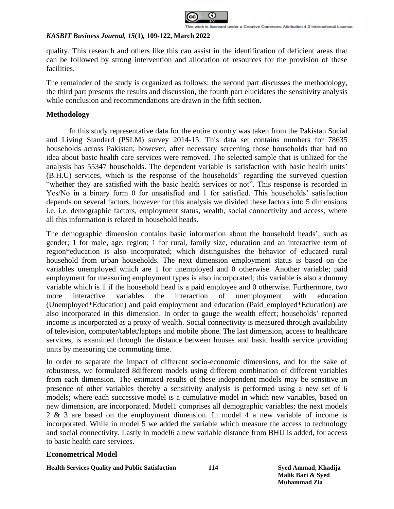

quality. This research and others like this can assist in the identification of deficient areas that can be followed by strong intervention and allocation of resources for the provision of these facilities.

The remainder of the study is organized as follows: the second part discusses the methodology, the third part presents the results and discussion, the fourth part elucidates the sensitivity analysis while conclusion and recommendations are drawn in the fifth section.

# **Methodology**

In this study representative data for the entire country was taken from the Pakistan Social and Living Standard (PSLM) survey 2014-15. This data set contains numbers for 78635 households across Pakistan; however, after necessary screening those households that had no idea about basic health care services were removed. The selected sample that is utilized for the analysis has 55347 households. The dependent variable is satisfaction with basic health units' (B.H.U) services, which is the response of the households' regarding the surveyed question "whether they are satisfied with the basic health services or not". This response is recorded in Yes/No in a binary form 0 for unsatisfied and 1 for satisfied. This households' satisfaction depends on several factors, however for this analysis we divided these factors into 5 dimensions i.e. i.e. demographic factors, employment status, wealth, social connectivity and access, where all this information is related to household heads.

The demographic dimension contains basic information about the household heads', such as gender; 1 for male, age, region; 1 for rural, family size, education and an interactive term of region\*education is also incorporated; which distinguishes the behavior of educated rural household from urban households. The next dimension employment status is based on the variables unemployed which are 1 for unemployed and 0 otherwise. Another variable; paid employment for measuring employment types is also incorporated; this variable is also a dummy variable which is 1 if the household head is a paid employee and 0 otherwise. Furthermore, two more interactive variables the interaction of unemployment with education (Unemployed\*Education) and paid employment and education (Paid\_employed\*Education) are also incorporated in this dimension. In order to gauge the wealth effect; households' reported income is incorporated as a proxy of wealth. Social connectivity is measured through availability of television, computer/tablet/laptops and mobile phone. The last dimension, access to healthcare services, is examined through the distance between houses and basic health service providing units by measuring the commuting time.

In order to separate the impact of different socio-economic dimensions, and for the sake of robustness, we formulated 8different models using different combination of different variables from each dimension. The estimated results of these independent models may be sensitive in presence of other variables thereby a sensitivity analysis is performed using a new set of 6 models; where each successive model is a cumulative model in which new variables, based on new dimension, are incorporated. Model1 comprises all demographic variables; the next models 2 & 3 are based on the employment dimension. In model 4 a new variable of income is incorporated. While in model 5 we added the variable which measure the access to technology and social connectivity. Lastly in model6 a new variable distance from BHU is added, for access to basic health care services.

# **Econometrical Model**

**Health Services Quality and Public Satisfaction 114 Syed Ammad, Khadija**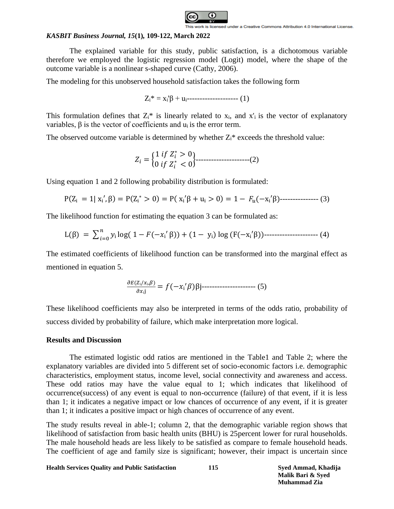

The explained variable for this study, public satisfaction, is a dichotomous variable therefore we employed the logistic regression model (Logit) model, where the shape of the outcome variable is a nonlinear s-shaped curve (Cathy, 2006).

The modeling for this unobserved household satisfaction takes the following form

Zi\* = xi'β + ui-------------------- (1)

This formulation defines that  $Z_i^*$  is linearly related to  $x_i$ , and  $x'_i$  is the vector of explanatory variables, β is the vector of coefficients and ui is the error term.

The observed outcome variable is determined by whether  $Z_i^*$  exceeds the threshold value:

$$
Z_i = \begin{cases} 1 & \text{if } Z_i^* > 0 \\ 0 & \text{if } Z_i^* < 0 \end{cases} \tag{2}
$$

Using equation 1 and 2 following probability distribution is formulated:

P(Zᵢ = 1| xᵢ′, β) = P(Zᵢ <sup>∗</sup> > 0) = P( xᵢ ′β + uᵢ > 0) = 1 − (−xᵢ′β)--------------- (3)

The likelihood function for estimating the equation 3 can be formulated as:

L(β) = ∑ ᵢ log( 1 − (−ᵢ′ =0 β)) + (1 − yᵢ) log (F(−xᵢ′β))--------------------- (4)

The estimated coefficients of likelihood function can be transformed into the marginal effect as mentioned in equation 5.

$$
\frac{\partial E(Z_i/x_i,\beta)}{\partial x_i j} = f(-x_i/\beta)\beta j \dots \dots \dots \dots \dots \dots \dots \dots \dots \tag{5}
$$

These likelihood coefficients may also be interpreted in terms of the odds ratio, probability of success divided by probability of failure, which make interpretation more logical.

# **Results and Discussion**

The estimated logistic odd ratios are mentioned in the Table1 and Table 2; where the explanatory variables are divided into 5 different set of socio-economic factors i.e. demographic characteristics, employment status, income level, social connectivity and awareness and access. These odd ratios may have the value equal to 1; which indicates that likelihood of occurrence(success) of any event is equal to non-occurrence (failure) of that event, if it is less than 1; it indicates a negative impact or low chances of occurrence of any event, if it is greater than 1; it indicates a positive impact or high chances of occurrence of any event.

The study results reveal in able-1; column 2, that the demographic variable region shows that likelihood of satisfaction from basic health units (BHU) is 25percent lower for rural households. The male household heads are less likely to be satisfied as compare to female household heads. The coefficient of age and family size is significant; however, their impact is uncertain since

**Health Services Quality and Public Satisfaction 115 Syed Ammad, Khadija**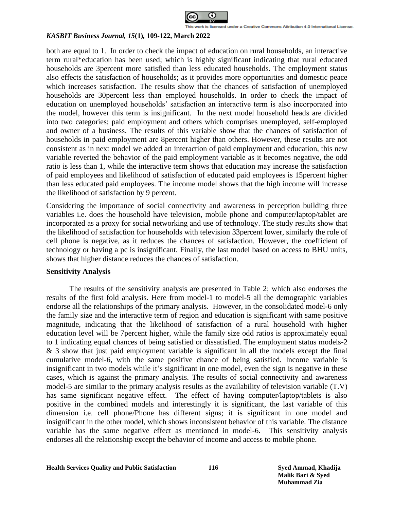

both are equal to 1. In order to check the impact of education on rural households, an interactive term rural\*education has been used; which is highly significant indicating that rural educated households are 3percent more satisfied than less educated households. The employment status also effects the satisfaction of households; as it provides more opportunities and domestic peace which increases satisfaction. The results show that the chances of satisfaction of unemployed households are 30percent less than employed households. In order to check the impact of education on unemployed households' satisfaction an interactive term is also incorporated into the model, however this term is insignificant. In the next model household heads are divided into two categories; paid employment and others which comprises unemployed, self-employed and owner of a business. The results of this variable show that the chances of satisfaction of households in paid employment are 8percent higher than others. However, these results are not consistent as in next model we added an interaction of paid employment and education, this new variable reverted the behavior of the paid employment variable as it becomes negative, the odd ratio is less than 1, while the interactive term shows that education may increase the satisfaction of paid employees and likelihood of satisfaction of educated paid employees is 15percent higher than less educated paid employees. The income model shows that the high income will increase the likelihood of satisfaction by 9 percent.

Considering the importance of social connectivity and awareness in perception building three variables i.e. does the household have television, mobile phone and computer/laptop/tablet are incorporated as a proxy for social networking and use of technology. The study results show that the likelihood of satisfaction for households with television 33percent lower, similarly the role of cell phone is negative, as it reduces the chances of satisfaction. However, the coefficient of technology or having a pc is insignificant. Finally, the last model based on access to BHU units, shows that higher distance reduces the chances of satisfaction.

#### **Sensitivity Analysis**

The results of the sensitivity analysis are presented in Table 2; which also endorses the results of the first fold analysis. Here from model-1 to model-5 all the demographic variables endorse all the relationships of the primary analysis. However, in the consolidated model-6 only the family size and the interactive term of region and education is significant with same positive magnitude, indicating that the likelihood of satisfaction of a rural household with higher education level will be 7percent higher, while the family size odd ratios is approximately equal to 1 indicating equal chances of being satisfied or dissatisfied. The employment status models-2 & 3 show that just paid employment variable is significant in all the models except the final cumulative model-6, with the same positive chance of being satisfied. Income variable is insignificant in two models while it's significant in one model, even the sign is negative in these cases, which is against the primary analysis. The results of social connectivity and awareness model-5 are similar to the primary analysis results as the availability of television variable (T.V) has same significant negative effect. The effect of having computer/laptop/tablets is also positive in the combined models and interestingly it is significant, the last variable of this dimension i.e. cell phone/Phone has different signs; it is significant in one model and insignificant in the other model, which shows inconsistent behavior of this variable. The distance variable has the same negative effect as mentioned in model-6. This sensitivity analysis endorses all the relationship except the behavior of income and access to mobile phone.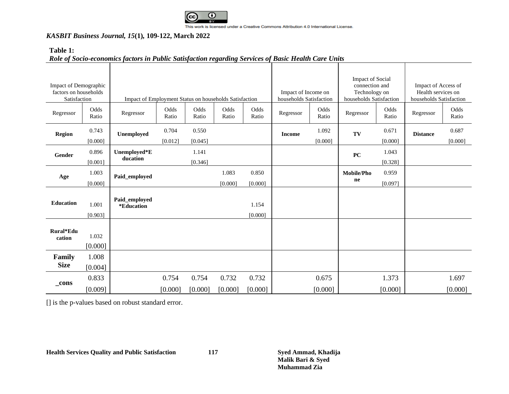

This work is licensed under a Creative Commons Attribution 4.0 International License.

# *KASBIT Business Journal, 15***(1)***,* **109-122, March 2022**

# **Table 1:**

# *Role of Socio-economics factors in Public Satisfaction regarding Services of Basic Health Care Units*

| Impact of Demographic<br>factors on households<br>Satisfaction<br>Odds<br>Regressor |                  | Impact of Employment Status on households Satisfaction<br>Odds<br>Odds<br>Odds<br>Odds<br>Regressor |                |                |         |                  | Impact of Income on<br>households Satisfaction<br>Odds<br>Regressor |                | <b>Impact of Social</b><br>connection and<br>Technology on<br>households Satisfaction<br>Odds<br>Regressor |                | Impact of Access of<br>Health services on<br>households Satisfaction<br>Odds<br>Regressor |                |
|-------------------------------------------------------------------------------------|------------------|-----------------------------------------------------------------------------------------------------|----------------|----------------|---------|------------------|---------------------------------------------------------------------|----------------|------------------------------------------------------------------------------------------------------------|----------------|-------------------------------------------------------------------------------------------|----------------|
|                                                                                     | Ratio<br>0.743   |                                                                                                     | Ratio<br>0.704 | Ratio<br>0.550 | Ratio   | Ratio            |                                                                     | Ratio<br>1.092 |                                                                                                            | Ratio<br>0.671 |                                                                                           | Ratio<br>0.687 |
| <b>Region</b>                                                                       | [0.000]          | Unemployed                                                                                          | [0.012]        | [0.045]        |         |                  | <b>Income</b>                                                       | [0.000]        | TV                                                                                                         | [0.000]        | <b>Distance</b>                                                                           | [0.000]        |
| Gender                                                                              | 0.896            | Unemployed*E<br>ducation                                                                            |                | 1.141          |         |                  |                                                                     |                | PC                                                                                                         | 1.043          |                                                                                           |                |
|                                                                                     | [0.001]          |                                                                                                     |                | [0.346]        |         |                  |                                                                     |                |                                                                                                            | [0.328]        |                                                                                           |                |
| Age                                                                                 | 1.003            | Paid_employed                                                                                       |                |                | 1.083   | 0.850            |                                                                     |                | <b>Mobile/Pho</b><br>ne                                                                                    | 0.959          |                                                                                           |                |
|                                                                                     | [0.000]          |                                                                                                     |                |                | [0.000] | [0.000]          |                                                                     |                |                                                                                                            | [0.097]        |                                                                                           |                |
| <b>Education</b>                                                                    | 1.001<br>[0.903] | Paid_employed<br>*Education                                                                         |                |                |         | 1.154<br>[0.000] |                                                                     |                |                                                                                                            |                |                                                                                           |                |
| Rural*Edu<br>cation                                                                 | 1.032<br>[0.000] |                                                                                                     |                |                |         |                  |                                                                     |                |                                                                                                            |                |                                                                                           |                |
| Family                                                                              | 1.008            |                                                                                                     |                |                |         |                  |                                                                     |                |                                                                                                            |                |                                                                                           |                |
| <b>Size</b>                                                                         | [0.004]          |                                                                                                     |                |                |         |                  |                                                                     |                |                                                                                                            |                |                                                                                           |                |
| $_{\rm \_cons}$                                                                     | 0.833            |                                                                                                     | 0.754          | 0.754          | 0.732   | 0.732            |                                                                     | 0.675          |                                                                                                            | 1.373          |                                                                                           | 1.697          |
|                                                                                     | [0.009]          |                                                                                                     | [0.000]        | [0.000]        | [0.000] | [0.000]          |                                                                     | [0.000]        |                                                                                                            | [0.000]        |                                                                                           | [0.000]        |

[] is the p-values based on robust standard error.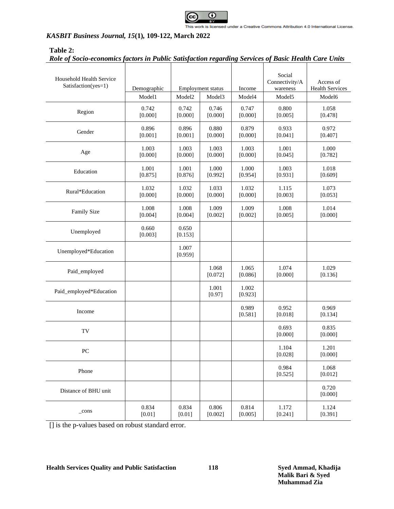

# **Table 2:**

|  |  |  | Role of Socio-economics factors in Public Satisfaction regarding Services of Basic Health Care Units |
|--|--|--|------------------------------------------------------------------------------------------------------|
|  |  |  |                                                                                                      |

| Household Health Service<br>Satisfaction(yes=1) | Demographic<br>Model1 | Employment status<br>Model <sub>2</sub><br>Model <sub>3</sub> |                  | Income<br>Model4 | Social<br>Connectivity/A<br>wareness<br>Model5 | Access of<br><b>Health Services</b><br>Model6 |
|-------------------------------------------------|-----------------------|---------------------------------------------------------------|------------------|------------------|------------------------------------------------|-----------------------------------------------|
| Region                                          | 0.742<br>[0.000]      | 0.742<br>[0.000]                                              | 0.746<br>[0.000] | 0.747<br>[0.000] | 0.800<br>[0.005]                               | 1.058<br>[0.478]                              |
| Gender                                          | 0.896<br>[0.001]      | 0.896<br>[0.001]                                              | 0.880<br>[0.000] | 0.879<br>[0.000] | 0.933<br>[0.041]                               | 0.972<br>[0.407]                              |
| Age                                             | 1.003<br>[0.000]      | 1.003<br>[0.000]                                              | 1.003<br>[0.000] | 1.003<br>[0.000] | 1.001<br>[0.045]                               | 1.000<br>[0.782]                              |
| Education                                       | 1.001<br>[0.875]      | 1.001<br>[0.876]                                              | 1.000<br>[0.992] | 1.000<br>[0.954] | 1.003<br>[0.931]                               | 1.018<br>[0.609]                              |
| Rural*Education                                 | 1.032<br>[0.000]      | 1.032<br>[0.000]                                              | 1.033<br>[0.000] | 1.032<br>[0.000] | 1.115<br>[0.003]                               | 1.073<br>[0.053]                              |
| Family Size                                     | 1.008<br>[0.004]      | 1.008<br>[0.004]                                              | 1.009<br>[0.002] | 1.009<br>[0.002] | 1.008<br>[0.005]                               | 1.014<br>[0.000]                              |
| Unemployed                                      | 0.660<br>[0.003]      | 0.650<br>[0.153]                                              |                  |                  |                                                |                                               |
| Unemployed*Education                            |                       | 1.007<br>[0.959]                                              |                  |                  |                                                |                                               |
| Paid_employed                                   |                       |                                                               | 1.068<br>[0.072] | 1.065<br>[0.086] | 1.074<br>[0.000]                               | 1.029<br>[0.136]                              |
| Paid_employed*Education                         |                       |                                                               | 1.001<br>[0.97]  | 1.002<br>[0.923] |                                                |                                               |
| Income                                          |                       |                                                               |                  | 0.989<br>[0.581] | 0.952<br>[0.018]                               | 0.969<br>[0.134]                              |
| TV                                              |                       |                                                               |                  |                  | 0.693<br>[0.000]                               | 0.835<br>[0.000]                              |
| PC                                              |                       |                                                               |                  |                  | 1.104<br>[0.028]                               | 1.201<br>[0.000]                              |
| Phone                                           |                       |                                                               |                  |                  | 0.984<br>[0.525]                               | 1.068<br>[0.012]                              |
| Distance of BHU unit                            |                       |                                                               |                  |                  |                                                | 0.720<br>[0.000]                              |
| $_{\rm cons}$                                   | 0.834<br>[0.01]       | 0.834<br>[0.01]                                               | 0.806<br>[0.002] | 0.814<br>[0.005] | 1.172<br>[0.241]                               | 1.124<br>[0.391]                              |

[] is the p-values based on robust standard error.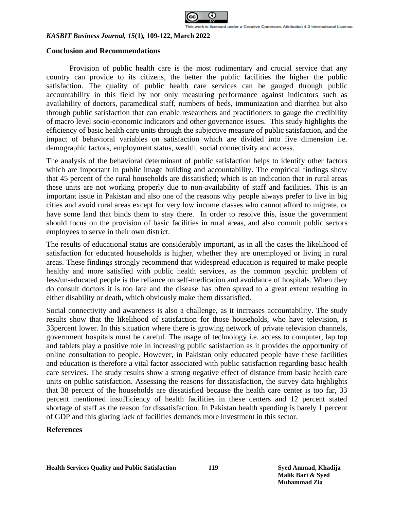

#### **Conclusion and Recommendations**

Provision of public health care is the most rudimentary and crucial service that any country can provide to its citizens, the better the public facilities the higher the public satisfaction. The quality of public health care services can be gauged through public accountability in this field by not only measuring performance against indicators such as availability of doctors, paramedical staff, numbers of beds, immunization and diarrhea but also through public satisfaction that can enable researchers and practitioners to gauge the credibility of macro level socio-economic indicators and other governance issues. This study highlights the efficiency of basic health care units through the subjective measure of public satisfaction, and the impact of behavioral variables on satisfaction which are divided into five dimension i.e. demographic factors, employment status, wealth, social connectivity and access.

The analysis of the behavioral determinant of public satisfaction helps to identify other factors which are important in public image building and accountability. The empirical findings show that 45 percent of the rural households are dissatisfied; which is an indication that in rural areas these units are not working properly due to non-availability of staff and facilities. This is an important issue in Pakistan and also one of the reasons why people always prefer to live in big cities and avoid rural areas except for very low income classes who cannot afford to migrate, or have some land that binds them to stay there. In order to resolve this, issue the government should focus on the provision of basic facilities in rural areas, and also commit public sectors employees to serve in their own district.

The results of educational status are considerably important, as in all the cases the likelihood of satisfaction for educated households is higher, whether they are unemployed or living in rural areas. These findings strongly recommend that widespread education is required to make people healthy and more satisfied with public health services, as the common psychic problem of less/un-educated people is the reliance on self-medication and avoidance of hospitals. When they do consult doctors it is too late and the disease has often spread to a great extent resulting in either disability or death, which obviously make them dissatisfied.

Social connectivity and awareness is also a challenge, as it increases accountability. The study results show that the likelihood of satisfaction for those households, who have television, is 33percent lower. In this situation where there is growing network of private television channels, government hospitals must be careful. The usage of technology i.e. access to computer, lap top and tablets play a positive role in increasing public satisfaction as it provides the opportunity of online consultation to people. However, in Pakistan only educated people have these facilities and education is therefore a vital factor associated with public satisfaction regarding basic health care services. The study results show a strong negative effect of distance from basic health care units on public satisfaction. Assessing the reasons for dissatisfaction, the survey data highlights that 38 percent of the households are dissatisfied because the health care center is too far, 33 percent mentioned insufficiency of health facilities in these centers and 12 percent stated shortage of staff as the reason for dissatisfaction. In Pakistan health spending is barely 1 percent of GDP and this glaring lack of facilities demands more investment in this sector.

#### **References**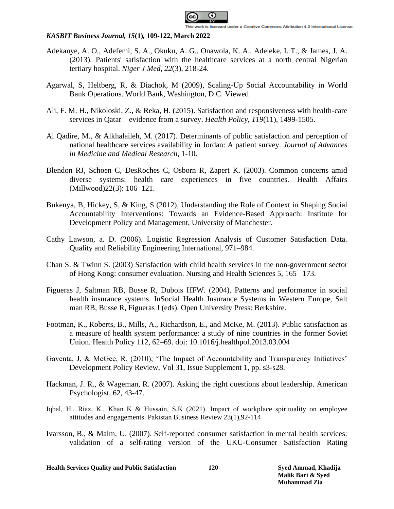

- Adekanye, A. O., Adefemi, S. A., Okuku, A. G., Onawola, K. A., Adeleke, I. T., & James, J. A. (2013). Patients' satisfaction with the healthcare services at a north central Nigerian tertiary hospital. *Niger J Med*, *22*(3), 218-24.
- Agarwal, S, Heltberg, R, & Diachok, M (2009), Scaling-Up Social Accountability in World Bank Operations. World Bank, Washington, D.C. Viewed
- Ali, F. M. H., Nikoloski, Z., & Reka, H. (2015). Satisfaction and responsiveness with health-care services in Qatar—evidence from a survey. *Health Policy*, *119*(11), 1499-1505.
- Al Qadire, M., & Alkhalaileh, M. (2017). Determinants of public satisfaction and perception of national healthcare services availability in Jordan: A patient survey. *Journal of Advances in Medicine and Medical Research*, 1-10.
- Blendon RJ, Schoen C, DesRoches C, Osborn R, Zapert K. (2003). Common concerns amid diverse systems: health care experiences in five countries. Health Affairs (Millwood)22(3): 106–121.
- Bukenya, B, Hickey, S, & King, S (2012), Understanding the Role of Context in Shaping Social Accountability Interventions: Towards an Evidence-Based Approach: Institute for Development Policy and Management, University of Manchester.
- Cathy Lawson, a. D. (2006). Logistic Regression Analysis of Customer Satisfaction Data. Quality and Reliability Engineering International, 971–984.
- Chan S. & Twinn S. (2003) Satisfaction with child health services in the non-government sector of Hong Kong: consumer evaluation. Nursing and Health Sciences 5, 165 –173.
- Figueras J, Saltman RB, Busse R, Dubois HFW. (2004). Patterns and performance in social health insurance systems. InSocial Health Insurance Systems in Western Europe, Salt man RB, Busse R, Figueras J (eds). Open University Press: Berkshire.
- Footman, K., Roberts, B., Mills, A., Richardson, E., and McKe, M. (2013). Public satisfaction as a measure of health system performance: a study of nine countries in the former Soviet Union. Health Policy 112, 62–69. doi: 10.1016/j.healthpol.2013.03.004
- Gaventa, J, & McGee, R. (2010), 'The Impact of Accountability and Transparency Initiatives' Development Policy Review, Vol 31, Issue Supplement 1, pp. s3-s28.
- [Hackman, J. R., & Wageman, R. \(2007\). Asking the right questions about leadership. American](http://dx.doi.org/10.1037/0003-066X.62.1.43)  [Psychologist, 62, 43-47.](http://dx.doi.org/10.1037/0003-066X.62.1.43)
- Iqbal, H., Riaz, K., Khan K & Hussain, S.K (2021). Impact of workplace spirituality on employee attitudes and engagements. Pakistan Business Review 23(1),92-114
- [Ivarsson, B., & Malm, U. \(2007\). Self-reported consumer satisfaction in mental health services:](https://doi.org/10.1080/08039480701352488)  [validation of a self-rating version of the UKU-Consumer Satisfaction Rating](https://doi.org/10.1080/08039480701352488)

**Health Services Quality and Public Satisfaction 120 Syed Ammad, Khadija**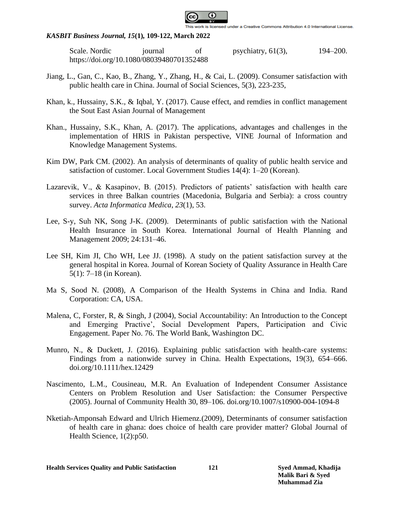

Scale. Nordic iournal of psychiatry, 61(3), 194–200. <https://doi.org/10.1080/08039480701352488>

- Jiang, L., Gan, C., Kao, B., Zhang, Y., Zhang, H., & Cai, L. (2009). Consumer satisfaction with public health care in China. Journal of Social Sciences, 5(3), 223-235,
- Khan, k., Hussainy, S.K., & Iqbal, Y. (2017). Cause effect, and remdies in conflict management the Sout East Asian Journal of Management
- Khan., Hussainy, S.K., Khan, A. (2017). The applications, advantages and challenges in the implementation of HRIS in Pakistan perspective, VINE Journal of Information and Knowledge Management Systems.
- Kim DW, Park CM. (2002). An analysis of determinants of quality of public health service and satisfaction of customer. Local Government Studies 14(4): 1–20 (Korean).
- Lazarevik, V., & Kasapinov, B. (2015). Predictors of patients' satisfaction with health care services in three Balkan countries (Macedonia, Bulgaria and Serbia): a cross country survey. *Acta Informatica Medica*, *23*(1), 53.
- Lee, S-y, Suh NK, Song J-K. (2009). Determinants of public satisfaction with the National Health Insurance in South Korea. International Journal of Health Planning and Management 2009; 24:131–46.
- Lee SH, Kim JI, Cho WH, Lee JJ. (1998). A study on the patient satisfaction survey at the general hospital in Korea. Journal of Korean Society of Quality Assurance in Health Care 5(1): 7–18 (in Korean).
- Ma S, Sood N. (2008), A Comparison of the Health Systems in China and India. Rand Corporation: CA, USA.
- Malena, C, Forster, R, & Singh, J (2004), Social Accountability: An Introduction to the Concept and Emerging Practive', Social Development Papers, Participation and Civic Engagement. Paper No. 76. The World Bank, Washington DC.
- Munro, N., & Duckett, J. (2016). Explaining public satisfaction with health-care systems: Findings from a nationwide survey in China. Health Expectations, 19(3), 654–666. doi.org/10.1111/hex.12429
- [Nascimento, L.M., Cousineau, M.R. An Evaluation of Independent Consumer Assistance](file:///D:/ammad/Projects/Core_AERC/Health_satisfaction/Nursing_Health/Nascimento,%20L.M.,%20Cousineau,%20M.R.%20An%20Evaluation%20of%20Independent%20Consumer%20Assistance%20Centers%20on%20Problem%20Resolution%20and%20User%20Satisfaction:%20the%20Consumer%20Perspective(2005). Journal%20of%20Community%20Health 30, 89–106.%20https:/doi.org/10.1007/s10900-004-1094-8)  [Centers on Problem Resolution and User Satisfaction: the Consumer Perspective](file:///D:/ammad/Projects/Core_AERC/Health_satisfaction/Nursing_Health/Nascimento,%20L.M.,%20Cousineau,%20M.R.%20An%20Evaluation%20of%20Independent%20Consumer%20Assistance%20Centers%20on%20Problem%20Resolution%20and%20User%20Satisfaction:%20the%20Consumer%20Perspective(2005). Journal%20of%20Community%20Health 30, 89–106.%20https:/doi.org/10.1007/s10900-004-1094-8) (2005). Journal of Community Health 30, [89–106. doi.org/10.1007/s10900-004-1094-8](file:///D:/ammad/Projects/Core_AERC/Health_satisfaction/Nursing_Health/Nascimento,%20L.M.,%20Cousineau,%20M.R.%20An%20Evaluation%20of%20Independent%20Consumer%20Assistance%20Centers%20on%20Problem%20Resolution%20and%20User%20Satisfaction:%20the%20Consumer%20Perspective(2005). Journal%20of%20Community%20Health 30, 89–106.%20https:/doi.org/10.1007/s10900-004-1094-8)
- Nketiah-Amponsah Edward and Ulrich Hiemenz.(2009), Determinants of consumer satisfaction of health care in ghana: does choice of health care provider matter? Global Journal of Health Science, 1(2):p50.